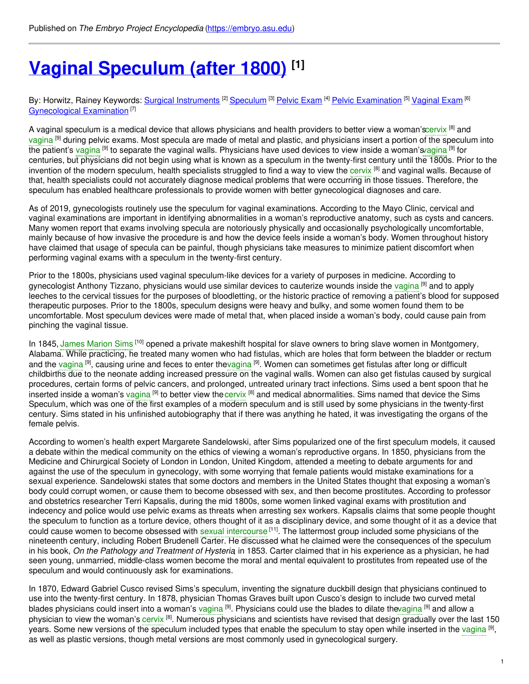# **Vaginal [Speculum](https://embryo.asu.edu/pages/vaginal-speculum-after-1800) (after 1800) [1]**

#### By: Horwitz, Rainey Keywords: <u>Surgical [Instruments](https://embryo.asu.edu/keywords/surgical-instruments)</u> <sup>[2]</sup> [Speculum](https://embryo.asu.edu/keywords/speculum) <sup>[3]</sup> <u>[Pelvic](https://embryo.asu.edu/keywords/pelvic-exam) Exam [4] Pelvic [Examination](https://embryo.asu.edu/keywords/pelvic-examination)</u> [5] <u>[Vaginal](https://embryo.asu.edu/keywords/vaginal-exam) Exam</u> [6] [Gynecological](https://embryo.asu.edu/keywords/gynecological-examination) Examination<sup>[7]</sup>

A vaginal speculum is a medical device that allows physicians and health providers to better view a woman'[scervix](https://embryo.asu.edu/search?text=cervix) <sup>[8]</sup> and [vagina](https://embryo.asu.edu/search?text=vagina) <sup>[9]</sup> during pelvic exams. Most specula are made of metal and plastic, and physicians insert a portion of the speculum into the patient's [vagina](https://embryo.asu.edu/search?text=vagina) <sup>[9]</sup> to separate the vaginal walls. Physicians have used devices to view inside a woman'[svagina](https://embryo.asu.edu/search?text=vagina) <sup>[9]</sup> for centuries, but physicians did not begin using what is known as a speculum in the twenty-first century until the 1800s. Prior to the invention of the modern speculum, health specialists struggled to find a way to view the [cervix](https://embryo.asu.edu/search?text=cervix) [8] and vaginal walls. Because of that, health specialists could not accurately diagnose medical problems that were occurring in those tissues. Therefore, the speculum has enabled healthcare professionals to provide women with better gynecological diagnoses and care.

As of 2019, gynecologists routinely use the speculum for vaginal examinations. According to the Mayo Clinic, cervical and vaginal examinations are important in identifying abnormalities in a woman's reproductive anatomy, such as cysts and cancers. Many women report that exams involving specula are notoriously physically and occasionally psychologically uncomfortable, mainly because of how invasive the procedure is and how the device feels inside a woman's body. Women throughout history have claimed that usage of specula can be painful, though physicians take measures to minimize patient discomfort when performing vaginal exams with a speculum in the twenty-first century.

Prior to the 1800s, physicians used vaginal speculum-like devices for a variety of purposes in medicine. According to gynecologist Anthony Tizzano, physicians would use similar devices to cauterize wounds inside the [vagina](https://embryo.asu.edu/search?text=vagina) <sup>[9]</sup> and to apply leeches to the cervical tissues for the purposes of bloodletting, or the historic practice of removing a patient's blood for supposed therapeutic purposes. Prior to the 1800s, speculum designs were heavy and bulky, and some women found them to be uncomfortable. Most speculum devices were made of metal that, when placed inside a woman's body, could cause pain from pinching the vaginal tissue.

In 1845, James [Marion](https://embryo.asu.edu/search?text=James%20Marion%20Sims) Sims [10] opened a private makeshift hospital for slave owners to bring slave women in Montgomery, Alabama. While practicing, he treated many women who had fistulas, which are holes that form between the bladder or rectum and the [vagina](https://embryo.asu.edu/search?text=vagina) <sup>[9]</sup>, causing urine and feces to enter th[evagina](https://embryo.asu.edu/search?text=vagina) <sup>[9]</sup>. Women can sometimes get fistulas after long or difficult childbirths due to the neonate adding increased pressure on the vaginal walls. Women can also get fistulas caused by surgical procedures, certain forms of pelvic cancers, and prolonged, untreated urinary tract infections. Sims used a bent spoon that he inserted inside a woman's [vagina](https://embryo.asu.edu/search?text=vagina) <sup>[9]</sup> to better view the [cervix](https://embryo.asu.edu/search?text=cervix) <sup>[8]</sup> and medical abnormalities. Sims named that device the Sims Speculum, which was one of the first examples of a modern speculum and is still used by some physicians in the twenty-first century. Sims stated in his unfinished autobiography that if there was anything he hated, it was investigating the organs of the female pelvis.

According to women's health expert Margarete Sandelowski, after Sims popularized one of the first speculum models, it caused a debate within the medical community on the ethics of viewing a woman's reproductive organs. In 1850, physicians from the Medicine and Chirurgical Society of London in London, United Kingdom, attended a meeting to debate arguments for and against the use of the speculum in gynecology, with some worrying that female patients would mistake examinations for a sexual experience. Sandelowski states that some doctors and members in the United States thought that exposing a woman's body could corrupt women, or cause them to become obsessed with sex, and then become prostitutes. According to professor and obstetrics researcher Terri Kapsalis, during the mid 1800s, some women linked vaginal exams with prostitution and indecency and police would use pelvic exams as threats when arresting sex workers. Kapsalis claims that some people thought the speculum to function as a torture device, others thought of it as a disciplinary device, and some thought of it as a device that could cause women to become obsessed with sexual [intercourse](https://embryo.asu.edu/search?text=sexual%20intercourse) <sup>[11]</sup>. The lattermost group included some physicians of the nineteenth century, including Robert Brudenell Carter. He discussed what he claimed were the consequences of the speculum in his book, *On the Pathology and Treatment of Hysteria*, in 1853. Carter claimed that in his experience as a physician, he had seen young, unmarried, middle-class women become the moral and mental equivalent to prostitutes from repeated use of the speculum and would continuously ask for examinations.

In 1870, Edward Gabriel Cusco revised Sims's speculum, inventing the signature duckbill design that physicians continued to use into the twenty-first century. In 1878, physician Thomas Graves built upon Cusco's design to include two curved metal blades physicians could insert into a woman's [vagina](https://embryo.asu.edu/search?text=vagina) <sup>[9]</sup>. Physicians could use the blades to dilate th[evagina](https://embryo.asu.edu/search?text=vagina) <sup>[9]</sup> and allow a physician to view the woman's [cervix](https://embryo.asu.edu/search?text=cervix) <sup>[8]</sup>. Numerous physicians and scientists have revised that design gradually over the last 150 years. Some new versions of the speculum included types that enable the speculum to stay open while inserted in the [vagina](https://embryo.asu.edu/search?text=vagina) <sup>[9]</sup>, as well as plastic versions, though metal versions are most commonly used in gynecological surgery.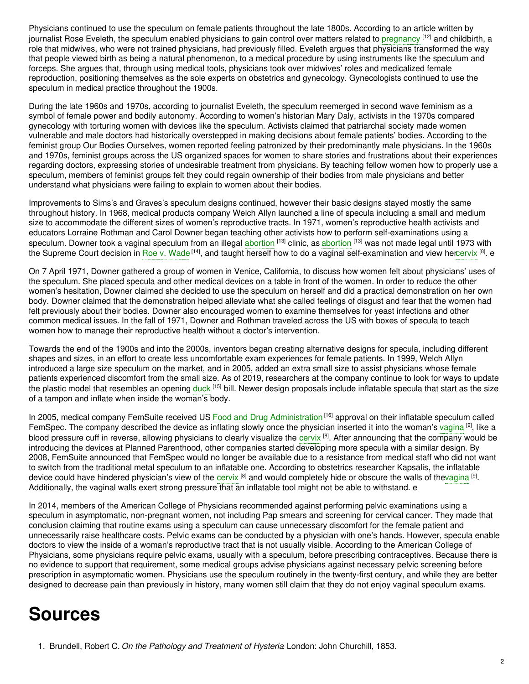Physicians continued to use the speculum on female patients throughout the late 1800s. According to an article written by journalist Rose Eveleth, the speculum enabled physicians to gain control over matters related to [pregnancy](https://embryo.asu.edu/search?text=pregnancy) <sup>[12]</sup> and childbirth, a role that midwives, who were not trained physicians, had previously filled. Eveleth argues that physicians transformed the way that people viewed birth as being a natural phenomenon, to a medical procedure by using instruments like the speculum and forceps. She argues that, through using medical tools, physicians took over midwives' roles and medicalized female reproduction, positioning themselves as the sole experts on obstetrics and gynecology. Gynecologists continued to use the speculum in medical practice throughout the 1900s.

During the late 1960s and 1970s, according to journalist Eveleth, the speculum reemerged in second wave feminism as a symbol of female power and bodily autonomy. According to women's historian Mary Daly, activists in the 1970s compared gynecology with torturing women with devices like the speculum. Activists claimed that patriarchal society made women vulnerable and male doctors had historically overstepped in making decisions about female patients' bodies. According to the feminist group Our Bodies Ourselves, women reported feeling patronized by their predominantly male physicians. In the 1960s and 1970s, feminist groups across the US organized spaces for women to share stories and frustrations about their experiences regarding doctors, expressing stories of undesirable treatment from physicians. By teaching fellow women how to properly use a speculum, members of feminist groups felt they could regain ownership of their bodies from male physicians and better understand what physicians were failing to explain to women about their bodies.

Improvements to Sims's and Graves's speculum designs continued, however their basic designs stayed mostly the same throughout history. In 1968, medical products company Welch Allyn launched a line of specula including a small and medium size to accommodate the different sizes of women's reproductive tracts. In 1971, women's reproductive health activists and educators Lorraine Rothman and Carol Downer began teaching other activists how to perform self-examinations using a speculum. Downer took a vaginal speculum from an illegal [abortion](https://embryo.asu.edu/search?text=abortion) [13] clinic, as abortion [13] was not made legal until 1973 with the Supreme Court decision in Roe v. [Wade](https://embryo.asu.edu/search?text=Roe%20v.%20Wade) <sup>[14]</sup>, and taught herself how to do a vaginal self-examination and view he[rcervix](https://embryo.asu.edu/search?text=cervix) <sup>[8]</sup>. e

On 7 April 1971, Downer gathered a group of women in Venice, California, to discuss how women felt about physicians' uses of the speculum. She placed specula and other medical devices on a table in front of the women. In order to reduce the other women's hesitation, Downer claimed she decided to use the speculum on herself and did a practical demonstration on her own body. Downer claimed that the demonstration helped alleviate what she called feelings of disgust and fear that the women had felt previously about their bodies. Downer also encouraged women to examine themselves for yeast infections and other common medical issues. In the fall of 1971, Downer and Rothman traveled across the US with boxes of specula to teach women how to manage their reproductive health without a doctor's intervention.

Towards the end of the 1900s and into the 2000s, inventors began creating alternative designs for specula, including different shapes and sizes, in an effort to create less uncomfortable exam experiences for female patients. In 1999, Welch Allyn introduced a large size speculum on the market, and in 2005, added an extra small size to assist physicians whose female patients experienced discomfort from the small size. As of 2019, researchers at the company continue to look for ways to update the plastic model that resembles an opening [duck](https://embryo.asu.edu/search?text=duck) <sup>[15]</sup> bill. Newer design proposals include inflatable specula that start as the size of a tampon and inflate when inside the woman's body.

In 2005, medical company FemSuite received US Food and Drug [Administration](https://embryo.asu.edu/search?text=Food%20and%20Drug%20Administration)<sup>[16]</sup> approval on their inflatable speculum called FemSpec. The company described the device as inflating slowly once the physician inserted it into the woman's [vagina](https://embryo.asu.edu/search?text=vagina) <sup>[9]</sup>, like a blood pressure cuff in reverse, allowing physicians to clearly visualize the [cervix](https://embryo.asu.edu/search?text=cervix) [8]. After announcing that the company would be introducing the devices at Planned Parenthood, other companies started developing more specula with a similar design. By 2008, FemSuite announced that FemSpec would no longer be available due to a resistance from medical staff who did not want to switch from the traditional metal speculum to an inflatable one. According to obstetrics researcher Kapsalis, the inflatable device could have hindered physician's view of the [cervix](https://embryo.asu.edu/search?text=cervix) <sup>[8]</sup> and would completely hide or obscure the walls of th[evagina](https://embryo.asu.edu/search?text=vagina) <sup>[9]</sup>. Additionally, the vaginal walls exert strong pressure that an inflatable tool might not be able to withstand. e

In 2014, members of the American College of Physicians recommended against performing pelvic examinations using a speculum in asymptomatic, non-pregnant women, not including Pap smears and screening for cervical cancer. They made that conclusion claiming that routine exams using a speculum can cause unnecessary discomfort for the female patient and unnecessarily raise healthcare costs. Pelvic exams can be conducted by a physician with one's hands. However, specula enable doctors to view the inside of a woman's reproductive tract that is not usually visible. According to the American College of Physicians, some physicians require pelvic exams, usually with a speculum, before prescribing contraceptives. Because there is no evidence to support that requirement, some medical groups advise physicians against necessary pelvic screening before prescription in asymptomatic women. Physicians use the speculum routinely in the twenty-first century, and while they are better designed to decrease pain than previously in history, many women still claim that they do not enjoy vaginal speculum exams.

# **Sources**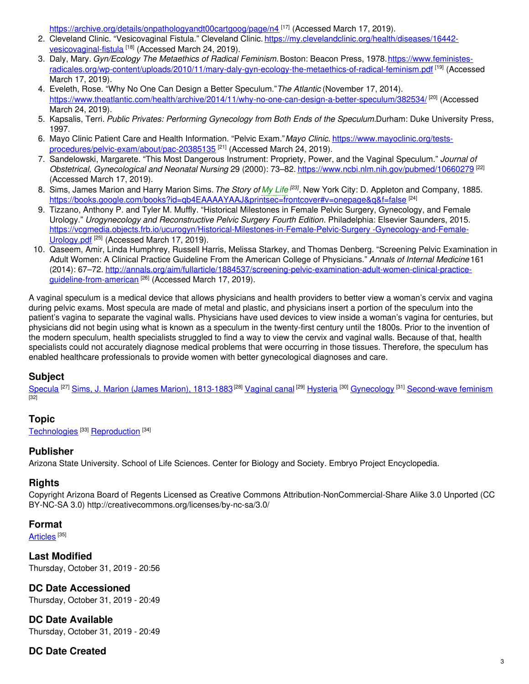<https://archive.org/details/onpathologyandt00cartgoog/page/n4> [17] (Accessed March 17, 2019).

- 2. Cleveland Clinic. "Vesicovaginal Fistula." Cleveland Clinic. [https://my.clevelandclinic.org/health/diseases/16442](https://my.clevelandclinic.org/health/diseases/16442-vesicovaginal-fistula) vesicovaginal-fistula <sup>[18]</sup> (Accessed March 24, 2019).
- 3. Daly, Mary. *Gyn/Ecology The Metaethics of Radical Feminism.*Boston: Beacon Press, 1978.https://www.feministes[radicales.org/wp-content/uploads/2010/11/mary-daly-gyn-ecology-the-metaethics-of-radical-feminism.pdf](https://www.feministes-radicales.org/wp-content/uploads/2010/11/mary-daly-gyn-ecology-the-metaethics-of-radical-feminism.pdf) [19] (Accessed March 17, 2019).
- 4. Eveleth, Rose. "Why No One Can Design a Better Speculum."*The Atlantic* (November 17, 2014). <https://www.theatlantic.com/health/archive/2014/11/why-no-one-can-design-a-better-speculum/382534/><sup>[20]</sup> (Accessed March 24, 2019).
- 5. Kapsalis, Terri. *Public Privates: Performing Gynecology from Both Ends of the Speculum.*Durham: Duke University Press, 1997.
- 6. Mayo Clinic Patient Care and Health Information. "Pelvic Exam."*Mayo Clinic.* https://www.mayoclinic.org/tests[procedures/pelvic-exam/about/pac-20385135](https://www.mayoclinic.org/tests-procedures/pelvic-exam/about/pac-20385135)<sup>[21]</sup> (Accessed March 24, 2019).
- 7. Sandelowski, Margarete. "This Most Dangerous Instrument: Propriety, Power, and the Vaginal Speculum." *Journal of Obstetrical, Gynecological and Neonatal Nursing* 29 (2000): 73–82. <https://www.ncbi.nlm.nih.gov/pubmed/10660279> [22] (Accessed March 17, 2019).
- 8. Sims, James Marion and Harry Marion Sims.*The Story of My [Life](https://embryo.asu.edu/search?text=My%20Life) [23] .* New York City: D. Appleton and Company, 1885. <https://books.google.com/books?id=qb4EAAAAYAAJ&printsec=frontcover#v=onepage&q&f=false> [24]
- 9. Tizzano, Anthony P. and Tyler M. Muffly. "Historical Milestones in Female Pelvic Surgery, Gynecology, and Female Urology." *Urogynecology and Reconstructive Pelvic Surgery Fourth Edition*. Philadelphia: Elsevier Saunders, 2015. [https://vcgmedia.objects.frb.io/ucurogyn/Historical-Milestones-in-Female-Pelvic-Surgery](https://vcgmedia.objects.frb.io/ucurogyn/Historical-Milestones-in-Female-Pelvic-Surgery%0A-Gynecology-and-Female-Urology.pdf) -Gynecology-and-Female-Urology.pdf<sup>[25]</sup> (Accessed March 17, 2019).
- 10. Qaseem, Amir, Linda Humphrey, Russell Harris, Melissa Starkey, and Thomas Denberg. "Screening Pelvic Examination in Adult Women: A Clinical Practice Guideline From the American College of Physicians." *Annals of Internal Medicine* 161 (2014): 67–72. [http://annals.org/aim/fullarticle/1884537/screening-pelvic-examination-adult-women-clinical-practice](http://annals.org/aim/fullarticle/1884537/screening-pelvic-examination-adult-women-clinical-practice-guideline-from-american)guideline-from-american <sup>[26]</sup> (Accessed March 17, 2019).

A vaginal speculum is a medical device that allows physicians and health providers to better view a woman's cervix and vagina during pelvic exams. Most specula are made of metal and plastic, and physicians insert a portion of the speculum into the patient's vagina to separate the vaginal walls. Physicians have used devices to view inside a woman's vagina for centuries, but physicians did not begin using what is known as a speculum in the twenty-first century until the 1800s. Prior to the invention of the modern speculum, health specialists struggled to find a way to view the cervix and vaginal walls. Because of that, health specialists could not accurately diagnose medical problems that were occurring in those tissues. Therefore, the speculum has enabled healthcare professionals to provide women with better gynecological diagnoses and care.

# **Subject**

[Specula](https://embryo.asu.edu/library-congress-subject-headings/specula) <sup>[27]</sup> Sims, J. Marion (James Marion), [1813-1883](https://embryo.asu.edu/library-congress-subject-headings/sims-j-marion-james-marion-1813-1883) <sup>[28]</sup> [Vaginal](https://embryo.asu.edu/library-congress-subject-headings/vaginal-canal) canal <sup>[29]</sup> [Hysteria](https://embryo.asu.edu/library-congress-subject-headings/hysteria) <sup>[30]</sup> [Gynecology](https://embryo.asu.edu/library-congress-subject-headings/gynecology) <sup>[31]</sup> [Second-wave](https://embryo.asu.edu/library-congress-subject-headings/second-wave-feminism) feminism  $\overline{[32]}$ 

## **Topic**

[Technologies](https://embryo.asu.edu/topics/technologies)<sup>[33]</sup> [Reproduction](https://embryo.asu.edu/topics/reproduction)<sup>[34]</sup>

## **Publisher**

Arizona State University. School of Life Sciences. Center for Biology and Society. Embryo Project Encyclopedia.

## **Rights**

Copyright Arizona Board of Regents Licensed as Creative Commons Attribution-NonCommercial-Share Alike 3.0 Unported (CC BY-NC-SA 3.0) http://creativecommons.org/licenses/by-nc-sa/3.0/

## **Format**

<u>[Articles](https://embryo.asu.edu/formats/articles)</u> [<sup>35]</sup>

**Last Modified** Thursday, October 31, 2019 - 20:56

# **DC Date Accessioned**

Thursday, October 31, 2019 - 20:49

**DC Date Available** Thursday, October 31, 2019 - 20:49

# **DC Date Created**